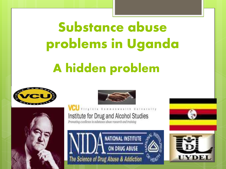# Substance abuse problems in Uganda

## A hidden problem







Ith University

#### Institute for Drug and Alcohol Studies

Promoting excellence in substance abuse research and training

**CU** VITSINIA COMMON



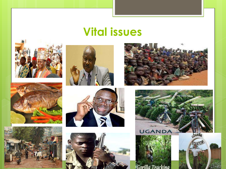### **Vital issues**



















Gorilla Tracking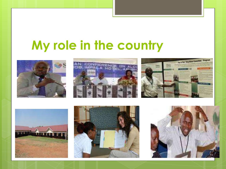### **My role in the country**











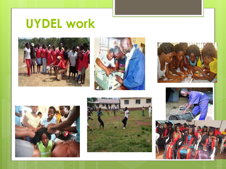### **UYDEL work**











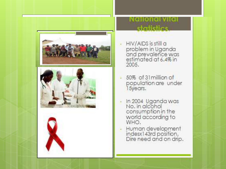





## statistics

- HIV/AIDS is still a problem in Uganda<br>and prevalence was<br>estimated at 6.4% in 2005.
- 50% of 31 million of population are under<br>15years.
- In 2004 Uganda was<br>No. in alcohol consumption in the world according to<br>WHO.
- Human development<br>indesx143rd position,<br>Dire need and on drip,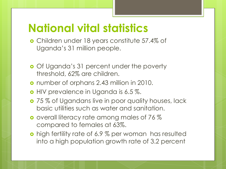### **National vital statistics**

- **o** Children under 18 years constitute 57.4% of Uganda's 31 million people.
- **o** Of Uganda's 31 percent under the poverty threshold, 62% are children.
- number of orphans 2.43 million in 2010.
- **o** HIV prevalence in Uganda is 6.5 %.
- **o** 75 % of Ugandans live in poor quality houses, lack basic utilities such as water and sanitation.
- **o** overall literacy rate among males of 76 % compared to females at 63%.
- **o** high fertility rate of 6.9 % per woman has resulted into a high population growth rate of 3.2 percent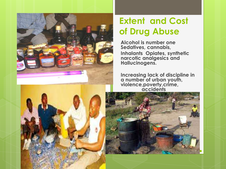

#### **Extent and Cost of Drug Abuse**

**Alcohol is number one Sedatives, cannabis, Inhalants Opiates, synthetic narcotic analgesics and Hallucinogens.**

**Increasing lack of discipline in a number of urban youth, violence,poverty,crime, accidents**

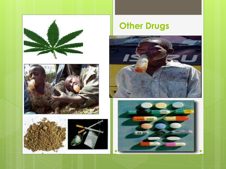





### **Other Drugs**



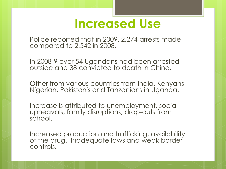### **Increased Use**

Police reported that in 2009, 2,274 arrests made compared to 2,542 in 2008.

In 2008-9 over 54 Ugandans had been arrested outside and 38 convicted to death in China.

Other from various countries from India, Kenyans Nigerian, Pakistanis and Tanzanians in Uganda.

Increase is attributed to unemployment, social upheavals, family disruptions, drop-outs from school.

Increased production and trafficking, availability of the drug. Inadequate laws and weak border controls.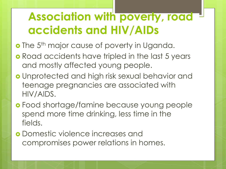### **Association with poverty, road accidents and HIV/AIDs**

- o The 5<sup>th</sup> major cause of poverty in Uganda.
- **o** Road accidents have tripled in the last 5 years and mostly affected young people.
- Unprotected and high risk sexual behavior and teenage pregnancies are associated with HIV/AIDS.
- Food shortage/famine because young people spend more time drinking, less time in the fields.
- Domestic violence increases and compromises power relations in homes.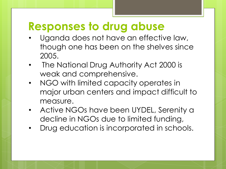### **Responses to drug abuse**

- Uganda does not have an effective law, though one has been on the shelves since 2005.
- The National Drug Authority Act 2000 is weak and comprehensive.
- NGO with limited capacity operates in major urban centers and impact difficult to measure.
- Active NGOs have been UYDEL, Serenity a decline in NGOs due to limited funding,
- Drug education is incorporated in schools.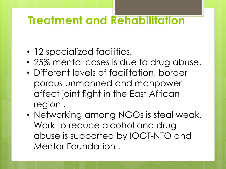### **Treatment and Rehabilitation**

- 12 specialized facilities.
- 25% mental cases is due to drug abuse.
- Different levels of facilitation, border porous unmanned and manpower affect joint fight in the East African region .
- Networking among NGOs is steal weak, Work to reduce alcohol and drug abuse is supported by IOGT-NTO and Mentor Foundation .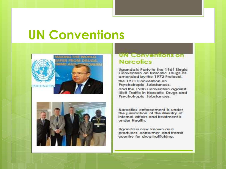### **UN Conventions**





#### **UN Conventions on Narcotics**

Uganda is Party to the 1961 Single Convention on Narcotic Drugs as amended by the 1972 Protocol, the 1971 Convention on Psychotropic Substances, and the 1988 Convention against Illicit Traffic in Narcofic Drugs and Psychotropic Substances.

Narcofics enforcement is under the jurisdiction of the Ministry of internal affairs and treatment is under Health.

Uganda is now known as a producer, consumer and transit country for drug trafficking.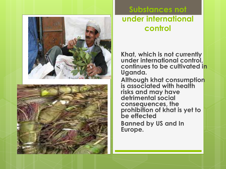

#### **Substances not under international control**

**Khat, which is not currently under international control, continues to be cultivated in Uganda.** 

**Although khat consumption is associated with health risks and may have detrimental social consequences, the prohibition of khat is yet to be effected Banned by US and In Europe.**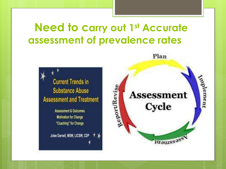### **Need to carry out 1st Accurate** assessment of prevalence rates



**Assessment & Outcomes Motivation for Change** "Coaching" for Change

Jolee Darnell, MSW, LICSW, CDP

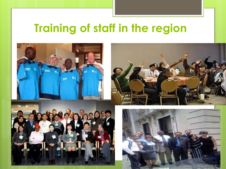### **Training of staff in the region**

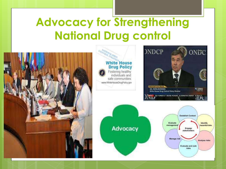### **Advocacy for Strengthening National Drug control**



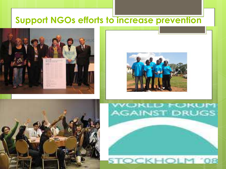#### **Support NGOs efforts to increase prevention**









#### **STOCKHOLM '08**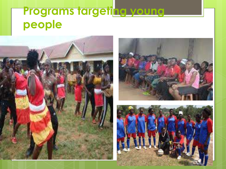### Programs targeting young **people**





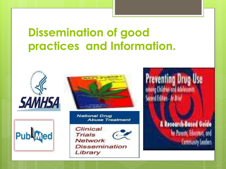### **Dissemination of good practices and Information.**







**National Drug Abuse Treatment** 

Clinical Trials Network **Dissemination** Library

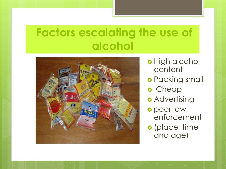### **Factors escalating the use of alcohol**



- o High alcohol content
- o Packing small
- o Cheap
- **o** Advertising
- o poor law enforcement
- o (place, time and age)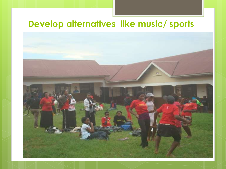#### **Develop alternatives like music/ sports**

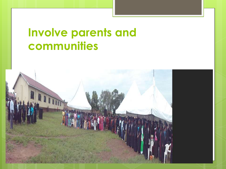### **Involve parents and communities**

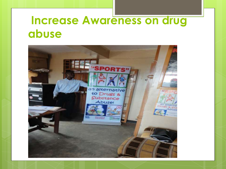### **Increase Awareness on drug abuse**

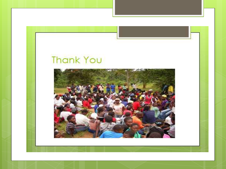### **Thank You**